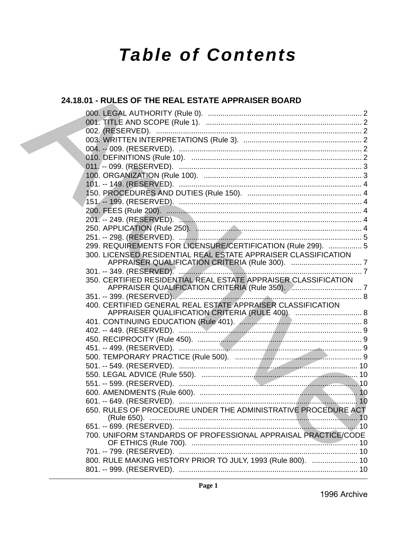# **Table of Contents**

# 24.18.01 - RULES OF THE REAL ESTATE APPRAISER BOARD 299. REQUIREMENTS FOR LICENSURE/CERTIFICATION (Rule 299). ................ 5 300. LICENSED RESIDENTIAL REAL ESTATE APPRAISER CLASSIFICATION 350. CERTIFIED RESIDENTIAL REAL ESTATE APPRAISER CLASSIFICATION 400. CERTIFIED GENERAL REAL ESTATE APPRAISER CLASSIFICATION 650. RULES OF PROCEDURE UNDER THE ADMINISTRATIVE PROCEDURE ACT 700. UNIFORM STANDARDS OF PROFESSIONAL APPRAISAL PRACTICE/CODE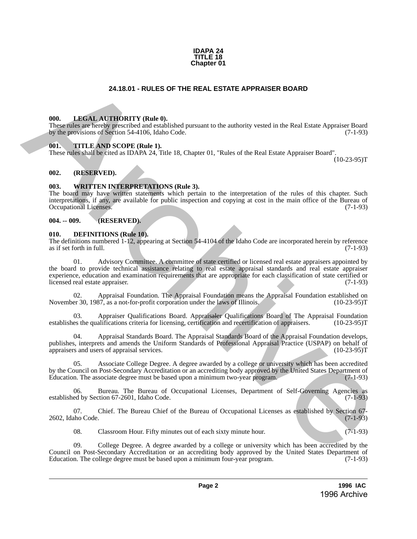#### **IDAPA 24 TITLE 18 Chapter 01**

# **24.18.01 - RULES OF THE REAL ESTATE APPRAISER BOARD**

#### <span id="page-1-1"></span>**000. LEGAL AUTHORITY (Rule 0).**

These rules are hereby prescribed and established pursuant to the authority vested in the Real Estate Appraiser Board by the provisions of Section 54-4106, Idaho Code. (7-1-93)

#### <span id="page-1-2"></span>**001. TITLE AND SCOPE (Rule 1).**

These rules shall be cited as IDAPA 24, Title 18, Chapter 01, "Rules of the Real Estate Appraiser Board".

(10-23-95)T

#### <span id="page-1-3"></span>**002. (RESERVED).**

#### <span id="page-1-4"></span>**003. WRITTEN INTERPRETATIONS (Rule 3).**

The board may have written statements which pertain to the interpretation of the rules of this chapter. Such interpretations, if any, are available for public inspection and copying at cost in the main office of the Bureau of Occupational Licenses.

#### <span id="page-1-5"></span>**004. -- 009. (RESERVED).**

#### <span id="page-1-6"></span>**010. DEFINITIONS (Rule 10).**

The definitions numbered 1-12, appearing at Section 54-4104 of the Idaho Code are incorporated herein by reference as if set forth in full.

<span id="page-1-0"></span>01. Advisory Committee. A committee of state certified or licensed real estate appraisers appointed by the board to provide technical assistance relating to real estate appraisal standards and real estate appraiser experience, education and examination requirements that are appropriate for each classification of state certified or licensed real estate appraiser. (7-1-93) **24.18.01 - RULES OF THE REAL ESTATE APPRAISER BOARD<br>
THE REAL ASSEMBATION CONTROVIDENT (Butch the composite of the authority vested in the Real Earne Appeals Found<br>
The principal control of the authority of the authority** 

02. Appraisal Foundation. The Appraisal Foundation means the Appraisal Foundation established on er 30, 1987, as a not-for-profit corporation under the laws of Illinois. (10-23-95) November 30, 1987, as a not-for-profit corporation under the laws of Illinois.

03. Appraiser Qualifications Board. Appraisaler Qualifications Board of The Appraisal Foundation establishes the qualifications criteria for licensing, certification and recertification of appraisers. (10-23-95)T

04. Appraisal Standards Board. The Appraisal Standards Board of the Appraisal Foundation develops, publishes, interprets and amends the Uniform Standards of Professional Appraisal Practice (USPAP) on behalf of appraisers and users of appraisal services. (10-23-95)T appraisers and users of appraisal services.

05. Associate College Degree. A degree awarded by a college or university which has been accredited by the Council on Post-Secondary Accreditation or an accrediting body approved by the United States Department of Education. The associate degree must be based upon a minimum two-year program. (7-1-93) Education. The associate degree must be based upon a minimum two-year program.

06. Bureau. The Bureau of Occupational Licenses, Department of Self-Governing Agencies as ed by Section 67-2601, Idaho Code. (7-1-93) established by Section 67-2601, Idaho Code.

07. Chief. The Bureau Chief of the Bureau of Occupational Licenses as established by Section 67-<br>(7-1-93) 2602, Idaho Code.

08. Classroom Hour. Fifty minutes out of each sixty minute hour. (7-1-93)

College Degree. A degree awarded by a college or university which has been accredited by the Council on Post-Secondary Accreditation or an accrediting body approved by the United States Department of Education. The college degree must be based upon a minimum four-year program. (7-1-93) Education. The college degree must be based upon a minimum four-year program.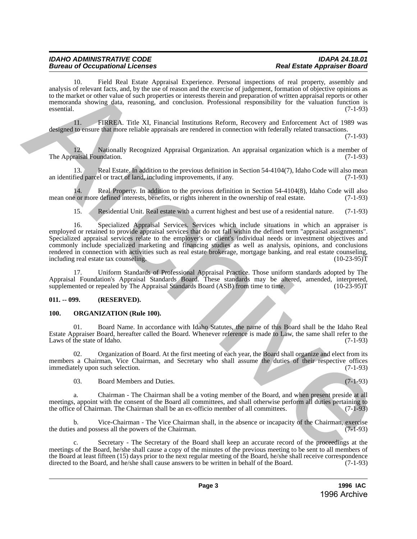#### *IDAHO ADMINISTRATIVE CODE IDAPA 24.18.01* **Bureau of Occupational Licenses**

10. Field Real Estate Appraisal Experience. Personal inspections of real property, assembly and analysis of relevant facts, and, by the use of reason and the exercise of judgement, formation of objective opinions as to the market or other value of such properties or interests therein and preparation of written appraisal reports or other memoranda showing data, reasoning, and conclusion. Professional responsibility for the valuation function is essential. (7-1-93)

11. FIRREA. Title XI, Financial Institutions Reform, Recovery and Enforcement Act of 1989 was designed to ensure that more reliable appraisals are rendered in connection with federally related transactions.

(7-1-93)

12. Nationally Recognized Appraisal Organization. An appraisal organization which is a member of raisal Foundation. (7-1-93) The Appraisal Foundation.

13. Real Estate. In addition to the previous definition in Section 54-4104(7), Idaho Code will also mean an identified parcel or tract of land, including improvements, if any. (7-1-93)

14. Real Property. In addition to the previous definition in Section 54-4104(8), Idaho Code will also cor more defined interests, benefits, or rights inherent in the ownership of real estate. (7-1-93) mean one or more defined interests, benefits, or rights inherent in the ownership of real estate.

15. Residential Unit. Real estate with a current highest and best use of a residential nature. (7-1-93)

16. Specialized Appraisal Services. Services which include situations in which an appraiser is employed or retained to provide appraisal services that do not fall within the defined term "appraisal assignments". Specialized appraisal services relate to the employer's or client's individual needs or investment objectives and commonly include specialized marketing and financing studies as well as analysis, opinions, and conclusions rendered in connection with activities such as real estate brokerage, mortgage banking, and real estate counseling, including real estate tax counseling, including real estate tax counseling. analysis of toelocial fields Treated Archives chemical increases the animal increases of the properties of the control increases of the control increases of the control increases of the control increases of the control in

17. Uniform Standards of Professional Appraisal Practice. Those uniform standards adopted by The Appraisal Foundation's Appraisal Standards Board. These standards may be altered, amended, interpreted, supplemented or repealed by The Appraisal Standards Board (ASB) from time to time. (10-23-95) supplemented or repealed by The Appraisal Standards Board (ASB) from time to time.

# <span id="page-2-0"></span>**011. -- 099. (RESERVED).**

#### <span id="page-2-1"></span>**100. ORGANIZATION (Rule 100).**

Board Name. In accordance with Idaho Statutes, the name of this Board shall be the Idaho Real Estate Appraiser Board, hereafter called the Board. Whenever reference is made to Law, the same shall refer to the Laws of the state of Idaho. (7-1-93)

02. Organization of Board. At the first meeting of each year, the Board shall organize and elect from its members a Chairman, Vice Chairman, and Secretary who shall assume the duties of their respective offices immediately upon such selection. (7-1-93)

03. Board Members and Duties. (7-1-93)

a. Chairman - The Chairman shall be a voting member of the Board, and when present preside at all meetings, appoint with the consent of the Board all committees, and shall otherwise perform all duties pertaining to the office of Chairman. The Chairman shall be an ex-officio member of all committees. (7-1-93) the office of Chairman. The Chairman shall be an ex-officio member of all committees.

b. Vice-Chairman - The Vice Chairman shall, in the absence or incapacity of the Chairman, exercise the duties and possess all the powers of the Chairman. (7-1-93)

Secretary - The Secretary of the Board shall keep an accurate record of the proceedings at the meetings of the Board, he/she shall cause a copy of the minutes of the previous meeting to be sent to all members of the Board at least fifteen (15) days prior to the next regular meeting of the Board, he/she shall receive correspondence directed to the Board, and he/she shall cause answers to be written in behalf of the Board. (7-1-93) directed to the Board, and he/she shall cause answers to be written in behalf of the Board.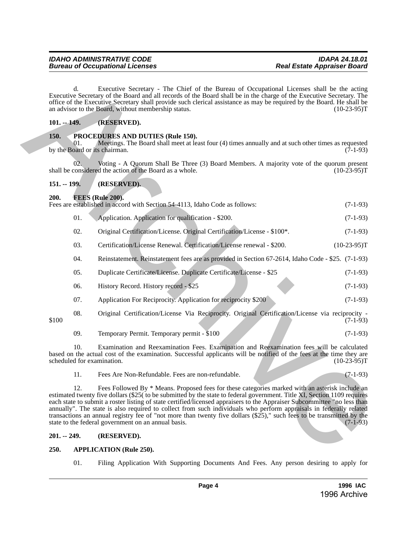# <span id="page-3-0"></span>**101. -- 149. (RESERVED).**

# <span id="page-3-1"></span>**150. PROCEDURES AND DUTIES (Rule 150).**

# <span id="page-3-2"></span>**151. -- 199. (RESERVED).**

# <span id="page-3-3"></span>**200. FEES (Rule 200).**

|  |                                                                                                                                                                                                                                                                                                                                                                                                                                                                                                                                                                                                                                                                                    | d.  | Executive Secretary - The Chief of the Bureau of Occupational Licenses shall be the acting<br>Executive Secretary of the Board and all records of the Board shall be in the charge of the Executive Secretary. The<br>office of the Executive Secretary shall provide such clerical assistance as may be required by the Board. He shall be<br>an advisor to the Board, without membership status. | $(10-23-95)T$ |  |  |
|--|------------------------------------------------------------------------------------------------------------------------------------------------------------------------------------------------------------------------------------------------------------------------------------------------------------------------------------------------------------------------------------------------------------------------------------------------------------------------------------------------------------------------------------------------------------------------------------------------------------------------------------------------------------------------------------|-----|----------------------------------------------------------------------------------------------------------------------------------------------------------------------------------------------------------------------------------------------------------------------------------------------------------------------------------------------------------------------------------------------------|---------------|--|--|
|  | $101. - 149.$                                                                                                                                                                                                                                                                                                                                                                                                                                                                                                                                                                                                                                                                      |     | (RESERVED).                                                                                                                                                                                                                                                                                                                                                                                        |               |  |  |
|  | <b>150.</b><br>01.<br>by the Board or its chairman.                                                                                                                                                                                                                                                                                                                                                                                                                                                                                                                                                                                                                                |     | PROCEDURES AND DUTIES (Rule 150).<br>Meetings. The Board shall meet at least four (4) times annually and at such other times as requested<br>$(7-1-93)$                                                                                                                                                                                                                                            |               |  |  |
|  | 02.<br>Voting - A Quorum Shall Be Three (3) Board Members. A majority vote of the quorum present<br>shall be considered the action of the Board as a whole.<br>$(10-23-95)T$                                                                                                                                                                                                                                                                                                                                                                                                                                                                                                       |     |                                                                                                                                                                                                                                                                                                                                                                                                    |               |  |  |
|  | $151. - 199.$                                                                                                                                                                                                                                                                                                                                                                                                                                                                                                                                                                                                                                                                      |     | (RESERVED).                                                                                                                                                                                                                                                                                                                                                                                        |               |  |  |
|  | 200.                                                                                                                                                                                                                                                                                                                                                                                                                                                                                                                                                                                                                                                                               |     | <b>FEES (Rule 200).</b><br>Fees are established in accord with Section 54-4113, Idaho Code as follows:                                                                                                                                                                                                                                                                                             | $(7-1-93)$    |  |  |
|  |                                                                                                                                                                                                                                                                                                                                                                                                                                                                                                                                                                                                                                                                                    | 01. | Application. Application for qualification - \$200.                                                                                                                                                                                                                                                                                                                                                | $(7-1-93)$    |  |  |
|  |                                                                                                                                                                                                                                                                                                                                                                                                                                                                                                                                                                                                                                                                                    | 02. | Original Certification/License. Original Certification/License - \$100*.                                                                                                                                                                                                                                                                                                                           | $(7-1-93)$    |  |  |
|  |                                                                                                                                                                                                                                                                                                                                                                                                                                                                                                                                                                                                                                                                                    | 03. | Certification/License Renewal. Certification/License renewal - \$200.                                                                                                                                                                                                                                                                                                                              | $(10-23-95)T$ |  |  |
|  |                                                                                                                                                                                                                                                                                                                                                                                                                                                                                                                                                                                                                                                                                    | 04. | Reinstatement. Reinstatement fees are as provided in Section 67-2614, Idaho Code - \$25. (7-1-93)                                                                                                                                                                                                                                                                                                  |               |  |  |
|  |                                                                                                                                                                                                                                                                                                                                                                                                                                                                                                                                                                                                                                                                                    | 05. | Duplicate Certificate/License. Duplicate Certificate/License - \$25                                                                                                                                                                                                                                                                                                                                | $(7-1-93)$    |  |  |
|  |                                                                                                                                                                                                                                                                                                                                                                                                                                                                                                                                                                                                                                                                                    | 06. | History Record. History record - \$25                                                                                                                                                                                                                                                                                                                                                              | $(7-1-93)$    |  |  |
|  |                                                                                                                                                                                                                                                                                                                                                                                                                                                                                                                                                                                                                                                                                    | 07. | Application For Reciprocity. Application for reciprocity \$200                                                                                                                                                                                                                                                                                                                                     | $(7-1-93)$    |  |  |
|  | \$100                                                                                                                                                                                                                                                                                                                                                                                                                                                                                                                                                                                                                                                                              | 08. | Original Certification/License Via Reciprocity. Original Certification/License via reciprocity -                                                                                                                                                                                                                                                                                                   | $(7-1-93)$    |  |  |
|  |                                                                                                                                                                                                                                                                                                                                                                                                                                                                                                                                                                                                                                                                                    | 09. | Temporary Permit. Temporary permit - \$100                                                                                                                                                                                                                                                                                                                                                         | $(7-1-93)$    |  |  |
|  | 10.<br>Examination and Reexamination Fees. Examination and Reexamination fees will be calculated<br>based on the actual cost of the examination. Successful applicants will be notified of the fees at the time they are<br>scheduled for examination.<br>$(10-23-95)T$                                                                                                                                                                                                                                                                                                                                                                                                            |     |                                                                                                                                                                                                                                                                                                                                                                                                    |               |  |  |
|  |                                                                                                                                                                                                                                                                                                                                                                                                                                                                                                                                                                                                                                                                                    | 11. | Fees Are Non-Refundable. Fees are non-refundable.                                                                                                                                                                                                                                                                                                                                                  | $(7-1-93)$    |  |  |
|  | 12.<br>Fees Followed By * Means. Proposed fees for these categories marked with an asterisk include an<br>estimated twenty five dollars (\$25) to be submitted by the state to federal government. Title XI, Section 1109 requires<br>each state to submit a roster listing of state certified/licensed appraisers to the Appraiser Subcommittee "no less than<br>annually". The state is also required to collect from such individuals who perform appraisals in federally related<br>transactions an annual registry fee of "not more than twenty five dollars (\$25)," such fees to be transmitted by the<br>state to the federal government on an annual basis.<br>$(7-1-93)$ |     |                                                                                                                                                                                                                                                                                                                                                                                                    |               |  |  |
|  | $201. - 249.$                                                                                                                                                                                                                                                                                                                                                                                                                                                                                                                                                                                                                                                                      |     | (RESERVED).                                                                                                                                                                                                                                                                                                                                                                                        |               |  |  |
|  | 250.                                                                                                                                                                                                                                                                                                                                                                                                                                                                                                                                                                                                                                                                               |     | <b>APPLICATION (Rule 250).</b>                                                                                                                                                                                                                                                                                                                                                                     |               |  |  |

#### <span id="page-3-4"></span>**201. -- 249. (RESERVED).**

#### <span id="page-3-5"></span>**250. APPLICATION (Rule 250).**

01. Filing Application With Supporting Documents And Fees. Any person desiring to apply for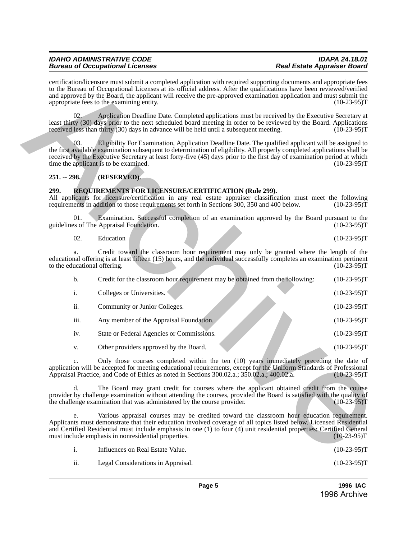# *IDAHO ADMINISTRATIVE CODE IDAPA 24.18.01 Bureau of Occupational Licenses*

# <span id="page-4-0"></span>**251. -- 298. (RESERVED).**

# <span id="page-4-1"></span>**299. REQUIREMENTS FOR LICENSURE/CERTIFICATION (Rule 299).**

| 02.                          | Education |  |  | $(10-23-95)T$                                                                                                           |
|------------------------------|-----------|--|--|-------------------------------------------------------------------------------------------------------------------------|
|                              |           |  |  |                                                                                                                         |
|                              |           |  |  | Credit toward the classroom hour requirement may only be granted where the length of the                                |
|                              |           |  |  | educational offering is at least fifteen (15) hours, and the individual successfully completes an examination pertinent |
| to the educational offering. |           |  |  | (10-23-95)T                                                                                                             |

|                                                                                                                                                                                                                                                                                                                                       | certification/licensure must submit a completed application with required supporting documents and appropriate fees<br>to the Bureau of Occupational Licenses at its official address. After the qualifications have been reviewed/verified<br>and approved by the Board, the applicant will receive the pre-approved examination application and must submit the<br>appropriate fees to the examining entity. | $(10-23-95)T$ |  |  |  |
|---------------------------------------------------------------------------------------------------------------------------------------------------------------------------------------------------------------------------------------------------------------------------------------------------------------------------------------|----------------------------------------------------------------------------------------------------------------------------------------------------------------------------------------------------------------------------------------------------------------------------------------------------------------------------------------------------------------------------------------------------------------|---------------|--|--|--|
| 02.                                                                                                                                                                                                                                                                                                                                   | Application Deadline Date. Completed applications must be received by the Executive Secretary at<br>least thirty (30) days prior to the next scheduled board meeting in order to be reviewed by the Board. Applications<br>received less than thirty (30) days in advance will be held until a subsequent meeting.                                                                                             | $(10-23-95)T$ |  |  |  |
| 03.                                                                                                                                                                                                                                                                                                                                   | Eligibility For Examination, Application Deadline Date. The qualified applicant will be assigned to<br>the first available examination subsequent to determination of eligibility. All properly completed applications shall be<br>received by the Executive Secretary at least forty-five (45) days prior to the first day of examination period at which<br>time the applicant is to be examined.            | $(10-23-95)T$ |  |  |  |
| $251. - 298.$                                                                                                                                                                                                                                                                                                                         | (RESERVED).                                                                                                                                                                                                                                                                                                                                                                                                    |               |  |  |  |
| 299.                                                                                                                                                                                                                                                                                                                                  | <b>REQUIREMENTS FOR LICENSURE/CERTIFICATION (Rule 299).</b><br>All applicants for licensure/certification in any real estate appraiser classification must meet the following<br>requirements in addition to those requirements set forth in Sections 300, 350 and 400 below.                                                                                                                                  | $(10-23-95)T$ |  |  |  |
| 01.                                                                                                                                                                                                                                                                                                                                   | Examination. Successful completion of an examination approved by the Board pursuant to the<br>guidelines of The Appraisal Foundation.                                                                                                                                                                                                                                                                          | $(10-23-95)T$ |  |  |  |
| 02.                                                                                                                                                                                                                                                                                                                                   | Education                                                                                                                                                                                                                                                                                                                                                                                                      | $(10-23-95)T$ |  |  |  |
| a.<br>to the educational offering.                                                                                                                                                                                                                                                                                                    | Credit toward the classroom hour requirement may only be granted where the length of the<br>educational offering is at least fifteen (15) hours, and the individual successfully completes an examination pertinent                                                                                                                                                                                            | $(10-23-95)T$ |  |  |  |
| $\mathbf b$ .                                                                                                                                                                                                                                                                                                                         | Credit for the classroom hour requirement may be obtained from the following:                                                                                                                                                                                                                                                                                                                                  | $(10-23-95)T$ |  |  |  |
| i.                                                                                                                                                                                                                                                                                                                                    | Colleges or Universities.                                                                                                                                                                                                                                                                                                                                                                                      | $(10-23-95)T$ |  |  |  |
| ii.                                                                                                                                                                                                                                                                                                                                   | Community or Junior Colleges.                                                                                                                                                                                                                                                                                                                                                                                  | $(10-23-95)T$ |  |  |  |
| iii.                                                                                                                                                                                                                                                                                                                                  | Any member of the Appraisal Foundation.                                                                                                                                                                                                                                                                                                                                                                        | $(10-23-95)T$ |  |  |  |
| iv.                                                                                                                                                                                                                                                                                                                                   | State or Federal Agencies or Commissions.                                                                                                                                                                                                                                                                                                                                                                      | $(10-23-95)T$ |  |  |  |
| V.                                                                                                                                                                                                                                                                                                                                    | Other providers approved by the Board.                                                                                                                                                                                                                                                                                                                                                                         | $(10-23-95)T$ |  |  |  |
| Only those courses completed within the ten (10) years immediately preceding the date of<br>c.<br>application will be accepted for meeting educational requirements, except for the Uniform Standards of Professional<br>Appraisal Practice, and Code of Ethics as noted in Sections 300.02.a.; 350.02.a.; 400.02.a.<br>$(10-23-95)T$ |                                                                                                                                                                                                                                                                                                                                                                                                                |               |  |  |  |
| $d_{\cdot}$                                                                                                                                                                                                                                                                                                                           | The Board may grant credit for courses where the applicant obtained credit from the course<br>provider by challenge examination without attending the courses, provided the Board is satisfied with the quality of<br>the challenge examination that was administered by the course provider.                                                                                                                  | $(10-23-95)T$ |  |  |  |
| e.                                                                                                                                                                                                                                                                                                                                    | Various appraisal courses may be credited toward the classroom hour education requirement.<br>Applicants must demonstrate that their education involved coverage of all topics listed below. Licensed Residential<br>and Certified Residential must include emphasis in one (1) to four (4) unit residential properties; Certified General<br>must include emphasis in nonresidential properties.              | $(10-23-95)T$ |  |  |  |
| i.                                                                                                                                                                                                                                                                                                                                    | Influences on Real Estate Value.                                                                                                                                                                                                                                                                                                                                                                               | $(10-23-95)T$ |  |  |  |

|                         | Influences on Real Estate Value. | $(10-23-95)T$ |
|-------------------------|----------------------------------|---------------|
| the control of the con- |                                  |               |

ii. Legal Considerations in Appraisal. (10-23-95)T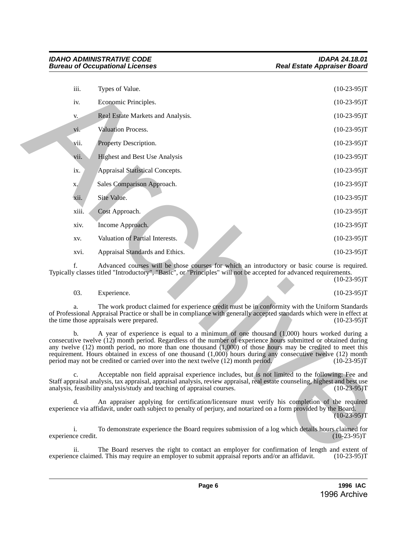| iii.                     | Types of Value.                                                                                                                                                                                                                                                                                                                                                                                                                                                                                                                        | $(10-23-95)T$ |
|--------------------------|----------------------------------------------------------------------------------------------------------------------------------------------------------------------------------------------------------------------------------------------------------------------------------------------------------------------------------------------------------------------------------------------------------------------------------------------------------------------------------------------------------------------------------------|---------------|
| iv.                      | Economic Principles.                                                                                                                                                                                                                                                                                                                                                                                                                                                                                                                   | $(10-23-95)T$ |
| V.                       | Real Estate Markets and Analysis.                                                                                                                                                                                                                                                                                                                                                                                                                                                                                                      | $(10-23-95)T$ |
| vi.                      | Valuation Process.                                                                                                                                                                                                                                                                                                                                                                                                                                                                                                                     | $(10-23-95)T$ |
| vii.                     | Property Description.                                                                                                                                                                                                                                                                                                                                                                                                                                                                                                                  | $(10-23-95)T$ |
| vii.                     | <b>Highest and Best Use Analysis</b>                                                                                                                                                                                                                                                                                                                                                                                                                                                                                                   | $(10-23-95)T$ |
| ix.                      | Appraisal Statistical Concepts.                                                                                                                                                                                                                                                                                                                                                                                                                                                                                                        | $(10-23-95)T$ |
| X.                       | Sales Comparison Approach.                                                                                                                                                                                                                                                                                                                                                                                                                                                                                                             | $(10-23-95)T$ |
| xii.                     | Site Value.                                                                                                                                                                                                                                                                                                                                                                                                                                                                                                                            | $(10-23-95)T$ |
| xiii.                    | Cost Approach.                                                                                                                                                                                                                                                                                                                                                                                                                                                                                                                         | $(10-23-95)T$ |
| xiv.                     | Income Approach.                                                                                                                                                                                                                                                                                                                                                                                                                                                                                                                       | $(10-23-95)T$ |
| XV.                      | Valuation of Partial Interests.                                                                                                                                                                                                                                                                                                                                                                                                                                                                                                        | $(10-23-95)T$ |
| xvi.                     | Appraisal Standards and Ethics.                                                                                                                                                                                                                                                                                                                                                                                                                                                                                                        | $(10-23-95)T$ |
| f.                       | Advanced courses will be those courses for which an introductory or basic course is required.<br>Typically classes titled "Introductory", "Basic", or "Principles" will not be accepted for advanced requirements.                                                                                                                                                                                                                                                                                                                     | $(10-23-95)T$ |
| 03.                      | Experience.                                                                                                                                                                                                                                                                                                                                                                                                                                                                                                                            | $(10-23-95)T$ |
| a.                       | The work product claimed for experience credit must be in conformity with the Uniform Standards<br>of Professional Appraisal Practice or shall be in compliance with generally accepted standards which were in effect at<br>the time those appraisals were prepared.                                                                                                                                                                                                                                                                  | $(10-23-95)T$ |
| $\mathbf{b}$ .           | A year of experience is equal to a minimum of one thousand $(1,000)$ hours worked during a<br>consecutive twelve (12) month period. Regardless of the number of experience hours submitted or obtained during<br>any twelve $(12)$ month period, no more than one thousand $(1,000)$ of those hours may be credited to meet this<br>requirement. Hours obtained in excess of one thousand (1,000) hours during any consecutive twelve (12) month<br>period may not be credited or carried over into the next twelve (12) month period. | $(10-23-95)T$ |
| c.                       | Acceptable non field appraisal experience includes, but is not limited to the following: Fee and<br>Staff appraisal analysis, tax appraisal, appraisal analysis, review appraisal, real estate counseling, highest and best use analysis, feasibility analysis/study and teaching of appraisal courses. (10-23-95)T                                                                                                                                                                                                                    |               |
| d.                       | An appraiser applying for certification/licensure must verify his completion of the required<br>experience via affidavit, under oath subject to penalty of perjury, and notarized on a form provided by the Board.                                                                                                                                                                                                                                                                                                                     | $(10-23-95)T$ |
| i.<br>experience credit. | To demonstrate experience the Board requires submission of a log which details hours claimed for                                                                                                                                                                                                                                                                                                                                                                                                                                       | $(10-23-95)T$ |
| ii.                      | The Board reserves the right to contact an employer for confirmation of length and extent of                                                                                                                                                                                                                                                                                                                                                                                                                                           |               |

ii. The Board reserves the right to contact an employer for confirmation of length and extent of ce claimed. This may require an employer to submit appraisal reports and/or an affidavit. (10-23-95) experience claimed. This may require an employer to submit appraisal reports and/or an affidavit.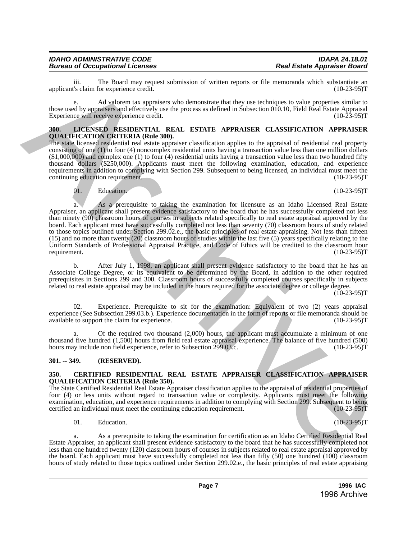iii. The Board may request submission of written reports or file memoranda which substantiate an <br>'s claim for experience credit. (10-23-95) applicant's claim for experience credit.

e. Ad valorem tax appraisers who demonstrate that they use techniques to value properties similar to those used by appraisers and effectively use the process as defined in Subsection 010.10, Field Real Estate Appraisal Experience will receive experience credit. (10-23-95) Experience will receive experience credit.

# <span id="page-6-0"></span>**300. LICENSED RESIDENTIAL REAL ESTATE APPRAISER CLASSIFICATION APPRAISER QUALIFICATION CRITERIA (Rule 300).**

The state licensed residential real estate appraiser classification applies to the appraisal of residential real property consisting of one (1) to four (4) noncomplex residential units having a transaction value less than one million dollars  $(1,000,000)$  and complex one (1) to four (4) residential units having a transaction value less than two hundred fifty thousand dollars (\$250,000). Applicants must meet the following examination, education, and experience requirements in addition to complying with Section 299. Subsequent to being licensed, an individual must meet the continuing education requirement. (10-23-95)T

01. Education.  $(10-23-95)T$ 

a. As a prerequisite to taking the examination for licensure as an Idaho Licensed Real Estate Appraiser, an applicant shall present evidence satisfactory to the board that he has successfully completed not less than ninety (90) classroom hours of courses in subjects related specifically to real estate appraisal approved by the board. Each applicant must have successfully completed not less than seventy (70) classroom hours of study related to those topics outlined under Section 299.02.e., the basic principles of real estate appraising. Not less than fifteen (15) and no more than twenty (20) classroom hours of studies within the last five (5) years specifically relating to the Uniform Standards of Professional Appraisal Practice, and Code of Ethics will be credited to the classroom hour requirement. (10-23-95)T requirement. (10-23-95)T spin and The Interlact map sequent submission of written mytos or for memoriant which the anti-spin and the submission of the Scheme of the Scheme of the Scheme of the Scheme of the Scheme of the Scheme of the Scheme of t

b. After July 1, 1998, an applicant shall present evidence satisfactory to the board that he has an Associate College Degree, or its equivalent to be determined by the Board, in addition to the other required prerequisites in Sections 299 and 300. Classroom hours of successfully completed courses specifically in subjects related to real estate appraisal may be included in the hours required for the associate degree or college degree.

 $(10-23-95)T$ 

02. Experience. Prerequisite to sit for the examination: Equivalent of two (2) years appraisal experience (See Subsection 299.03.b.). Experience documentation in the form of reports or file memoranda should be available to support the claim for experience. (10-23-95) available to support the claim for experience.

a. Of the required two thousand (2,000) hours, the applicant must accumulate a minimum of one thousand five hundred (1,500) hours from field real estate appraisal experience. The balance of five hundred (500) hours may include non field experience, refer to Subsection 299.03.c. (10-23-95) hours may include non field experience, refer to Subsection 299.03.c.

# <span id="page-6-1"></span>**301. -- 349. (RESERVED).**

# <span id="page-6-2"></span>**350. CERTIFIED RESIDENTIAL REAL ESTATE APPRAISER CLASSIFICATION APPRAISER QUALIFICATION CRITERIA (Rule 350).**

The State Certified Residential Real Estate Appraiser classification applies to the appraisal of residential properties of four (4) or less units without regard to transaction value or complexity. Applicants must meet the following examination, education, and experience requirements in addition to complying with Section 299. Subsequent to being<br>certified an individual must meet the continuing education requirement. (10-23-95) certified an individual must meet the continuing education requirement.

# 01. Education.  $(10-23-95)T$

a. As a prerequisite to taking the examination for certification as an Idaho Certified Residential Real Estate Appraiser, an applicant shall present evidence satisfactory to the board that he has successfully completed not less than one hundred twenty (120) classroom hours of courses in subjects related to real estate appraisal approved by the board. Each applicant must have successfully completed not less than fifty (50) one hundred (100) classroom hours of study related to those topics outlined under Section 299.02.e., the basic principles of real estate appraising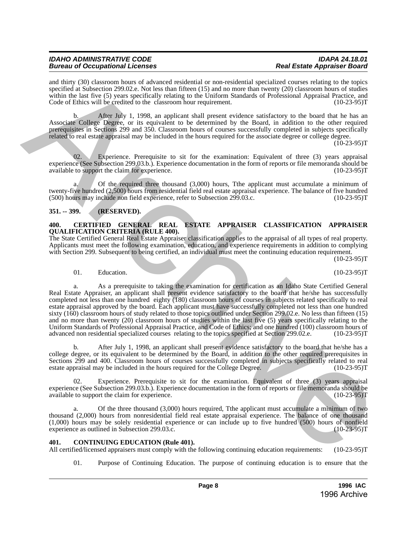#### *IDAHO ADMINISTRATIVE CODE IDAPA 24.18.01 Bureau of Occupational Licenses*

and thirty (30) classroom hours of advanced residential or non-residential specialized courses relating to the topics specified at Subsection 299.02.e. Not less than fifteen (15) and no more than twenty (20) classroom hours of studies within the last five (5) years specifically relating to the Uniform Standards of Professional Appraisal Practice, and Code of Ethics will be credited to the classroom hour requirement. (10-23-95)

b. After July 1, 1998, an applicant shall present evidence satisfactory to the board that he has an Associate College Degree, or its equivalent to be determined by the Board, in addition to the other required prerequisites in Sections 299 and 350. Classroom hours of courses successfully completed in subjects specifically related to real estate appraisal may be included in the hours required for the associate degree or college degree.

 $(10-23-95)T$ 

Experience. Prerequisite to sit for the examination: Equivalent of three (3) years appraisal experience (See Subsection 299.03.b.). Experience documentation in the form of reports or file memoranda should be available to support the claim for experience. (10-23-95) available to support the claim for experience.

Of the required three thousand  $(3,000)$  hours, Tthe applicant must accumulate a minimum of twenty-five hundred (2,500) hours from residential field real estate appraisal experience. The balance of five hundred (500) hours may include non field experience, refer to Subsection 299.03.c. (10-23-95)  $(500)$  hours may include non field experience, refer to Subsection 299.03.c.

# <span id="page-7-0"></span>**351. -- 399. (RESERVED).**

#### <span id="page-7-1"></span>**400. CERTIFIED GENERAL REAL ESTATE APPRAISER CLASSIFICATION APPRAISER QUALIFICATION CRITERIA (RULE 400).**

The State Certified General Real Estate Appraiser classification applies to the appraisal of all types of real property. Applicants must meet the following examination, education, and experience requirements in addition to complying with Section 299. Subsequent to being certified, an individual must meet the continuing education requirement.

 $(10-23-95)T$ 

01. Education. (10-23-95)T

a. As a prerequisite to taking the examination for certification as an Idaho State Certified General Real Estate Appraiser, an applicant shall present evidence satisfactory to the board that he/she has successfully completed not less than one hundred eighty (180) classroom hours of courses in subjects related specifically to real estate appraisal approved by the board. Each applicant must have successfully completed not less than one hundred sixty (160) classroom hours of study related to those topics outlined under Section 299.02.e. No less than fifteen (15) and no more than twenty (20) classroom hours of studies within the last five (5) years specifically relating to the Uniform Standards of Professional Appraisal Practice, and Code of Ethics; and one hundred (100) classroom hours of advanced non residential specialized courses relating to the topics specified at Section 299.02.e. (10-23-9 advanced non residential specialized courses relating to the topics specified at Section 299.02.e. and their (VII) characterizes that the absorption of restriction of the statistical controller the principal controller that the statistical controller that the statistical controller than the statistical controller of th

b. After July 1, 1998, an applicant shall present evidence satisfactory to the board that he/she has a college degree, or its equivalent to be determined by the Board, in addition to the other required prerequisites in Sections 299 and 400. Classroom hours of courses successfully completed in subjects specifically related to real estate appraisal may be included in the hours required for the College Degree. (10-23-95)T

02. Experience. Prerequisite to sit for the examination. Equivalent of three (3) years appraisal experience (See Subsection 299.03.b.). Experience documentation in the form of reports or file memoranda should be available to support the claim for experience. available to support the claim for experience.

Of the three thousand  $(3,000)$  hours required, Tthe applicant must accumulate a minimum of two thousand (2,000) hours from nonresidential field real estate appraisal experience. The balance of one thousand (1,000) hours may be solely residential experience or can include up to five hundred (500) hours of nonfield experience as outlined in Subsection 299.03.c. (10-23-95)T

# <span id="page-7-2"></span>**401. CONTINUING EDUCATION (Rule 401).**

All certified/licensed appraisers must comply with the following continuing education requirements: (10-23-95)T

01. Purpose of Continuing Education. The purpose of continuing education is to ensure that the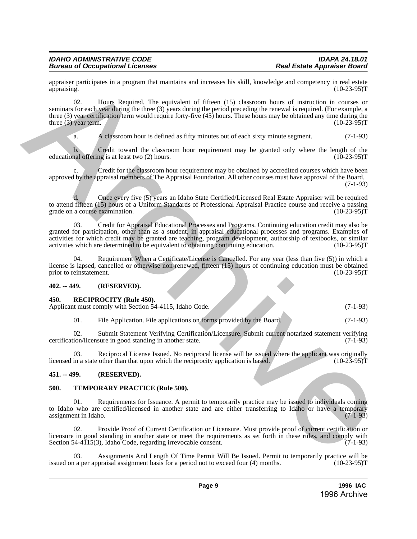appraiser participates in a program that maintains and increases his skill, knowledge and competency in real estate appraising. (10-23-95)T appraising. (10-23-95)T

02. Hours Required. The equivalent of fifteen (15) classroom hours of instruction in courses or seminars for each year during the three (3) years during the period preceding the renewal is required. (For example, a three (3) year certification term would require forty-five (45) hours. These hours may be obtained any time during the three (3) year term. (10-23-95) three  $(3)$  year term.

a. A classroom hour is defined as fifty minutes out of each sixty minute segment. (7-1-93)

b. Credit toward the classroom hour requirement may be granted only where the length of the nal offering is at least two  $(2)$  hours.  $(10-23-95)T$ educational offering is at least two (2) hours.

c. Credit for the classroom hour requirement may be obtained by accredited courses which have been approved by the appraisal members of The Appraisal Foundation. All other courses must have approval of the Board. (7-1-93)

d. Once every five (5) years an Idaho State Certified/Licensed Real Estate Appraiser will be required to attend fifteen (15) hours of a Uniform Standards of Professional Appraisal Practice course and receive a passing grade on a course examination. (10-23-95) grade on a course examination.

03. Credit for Appraisal Educational Processes and Programs. Continuing education credit may also be granted for participation, other than as a student, in appraisal educational processes and programs. Examples of activities for which credit may be granted are teaching, program development, authorship of textbooks, or similar activities which are determined to be equivalent to obtaining continuing education. (10-23-95)T signation contributes in a program that maintains and increases his skill, knowledge and computery into 1823-2017<br>
2. Archives Required and Control of fifteen (15) characterizes and computer (16). The control of the contr

04. Requirement When a Certificate/License is Cancelled. For any year (less than five (5)) in which a license is lapsed, cancelled or otherwise non-renewed, fifteen (15) hours of continuing education must be obtained<br>prior to reinstatement. (10-23-95) prior to reinstatement.

# <span id="page-8-0"></span>**402. -- 449. (RESERVED).**

#### <span id="page-8-1"></span>**450. RECIPROCITY (Rule 450).**

Applicant must comply with Section 54-4115, Idaho Code. (7-1-93)

01. File Application. File applications on forms provided by the Board. (7-1-93)

02. Submit Statement Verifying Certification/Licensure. Submit current notarized statement verifying certification/licensure in good standing in another state. (7-1-93)

03. Reciprocal License Issued. No reciprocal license will be issued where the applicant was originally in a state other than that upon which the reciprocity application is based. (10-23-95) licensed in a state other than that upon which the reciprocity application is based.

# <span id="page-8-2"></span>**451. -- 499. (RESERVED).**

# <span id="page-8-3"></span>**500. TEMPORARY PRACTICE (Rule 500).**

Requirements for Issuance. A permit to temporarily practice may be issued to individuals coming to Idaho who are certified/licensed in another state and are either transferring to Idaho or have a temporary<br>assignment in Idaho. (7-1-93) assignment in Idaho.

02. Provide Proof of Current Certification or Licensure. Must provide proof of current certification or licensure in good standing in another state or meet the requirements as set forth in these rules, and comply with Section 54-4115(3), Idaho Code, regarding irrevocable consent. (7-1-93) Section 54-4115(3), Idaho Code, regarding irrevocable consent.

Assignments And Length Of Time Permit Will Be Issued. Permit to temporarily practice will be praisal assignment basis for a period not to exceed four (4) months. (10-23-95) issued on a per appraisal assignment basis for a period not to exceed four  $(4)$  months.